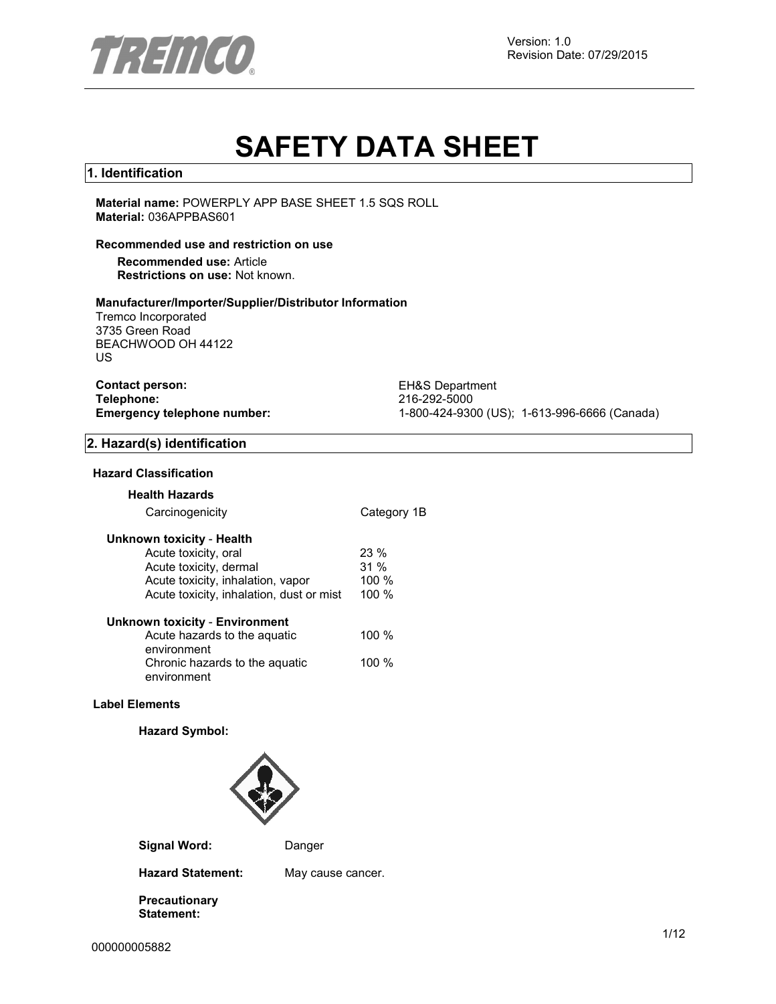

Version: 1.0 Revision Date: 07/29/2015

# **SAFETY DATA SHEET**

#### **1. Identification**

**Material name:** POWERPLY APP BASE SHEET 1.5 SQS ROLL **Material:** 036APPBAS601

#### **Recommended use and restriction on use**

**Recommended use:** Article **Restrictions on use:** Not known.

#### **Manufacturer/Importer/Supplier/Distributor Information**

Tremco Incorporated 3735 Green Road BEACHWOOD OH 44122 US

**Contact person:** EH&S Department<br>
Telephone: 216-292-5000 **Telephone:** 216-292-5000

**Emergency telephone number:** 1-800-424-9300 (US); 1-613-996-6666 (Canada)

#### **2. Hazard(s) identification**

#### **Hazard Classification**

### **Health Hazards**

| Carcinogenicity                               | Category 1B |
|-----------------------------------------------|-------------|
| Unknown toxicity - Health                     |             |
| Acute toxicity, oral                          | $23\%$      |
| Acute toxicity, dermal                        | 31%         |
| Acute toxicity, inhalation, vapor             | 100 %       |
| Acute toxicity, inhalation, dust or mist      | 100 %       |
| <b>Unknown toxicity - Environment</b>         |             |
| Acute hazards to the aquatic<br>environment   | $100 \%$    |
| Chronic hazards to the aguatic<br>environment | 100 %       |

#### **Label Elements**

#### **Hazard Symbol:**



**Signal Word:** Danger

**Hazard Statement:** May cause cancer.

**Precautionary Statement:**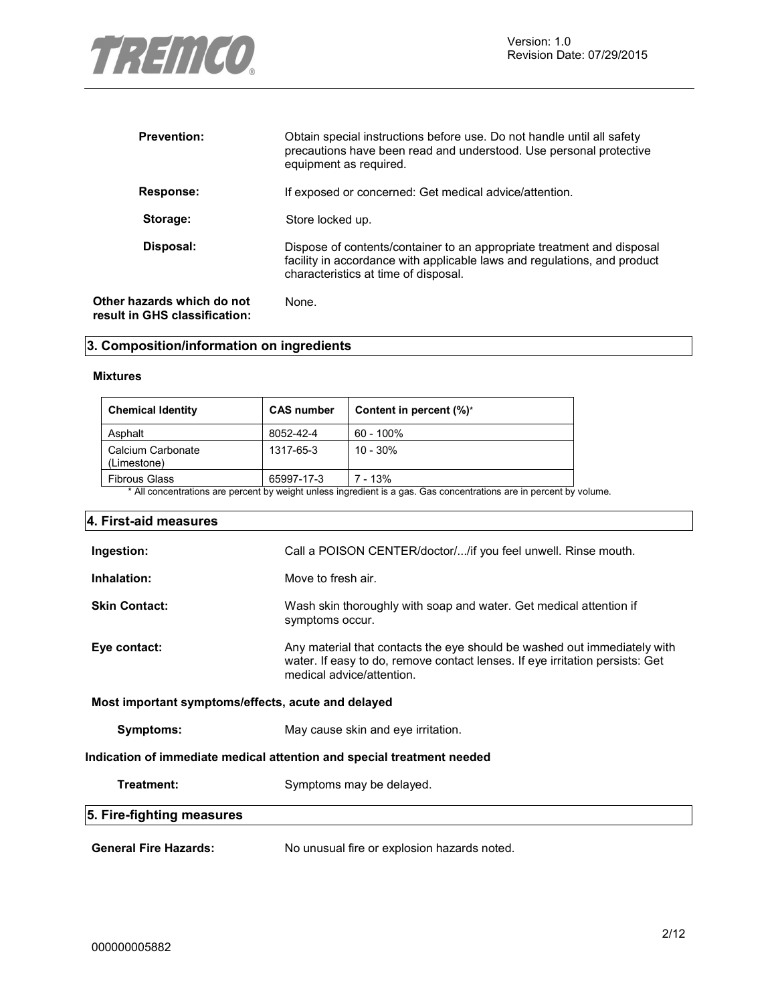

| <b>Prevention:</b>                                          | Obtain special instructions before use. Do not handle until all safety<br>precautions have been read and understood. Use personal protective<br>equipment as required.                     |
|-------------------------------------------------------------|--------------------------------------------------------------------------------------------------------------------------------------------------------------------------------------------|
| Response:                                                   | If exposed or concerned: Get medical advice/attention.                                                                                                                                     |
| Storage:                                                    | Store locked up.                                                                                                                                                                           |
| Disposal:                                                   | Dispose of contents/container to an appropriate treatment and disposal<br>facility in accordance with applicable laws and regulations, and product<br>characteristics at time of disposal. |
| Other hazards which do not<br>result in GHS classification: | None.                                                                                                                                                                                      |

### **3. Composition/information on ingredients**

#### **Mixtures**

| <b>Chemical Identity</b>         | <b>CAS number</b> | Content in percent (%)* |
|----------------------------------|-------------------|-------------------------|
| Asphalt                          | 8052-42-4         | 60 - 100%               |
| Calcium Carbonate<br>(Limestone) | 1317-65-3         | $10 - 30%$              |
| <b>Fibrous Glass</b>             | 65997-17-3        | $7 - 13%$               |

\* All concentrations are percent by weight unless ingredient is a gas. Gas concentrations are in percent by volume.

| 4. First-aid measures                                                  |                                                                                                                                                                                       |  |
|------------------------------------------------------------------------|---------------------------------------------------------------------------------------------------------------------------------------------------------------------------------------|--|
| Ingestion:                                                             | Call a POISON CENTER/doctor//if you feel unwell. Rinse mouth.                                                                                                                         |  |
| Inhalation:                                                            | Move to fresh air.                                                                                                                                                                    |  |
| <b>Skin Contact:</b>                                                   | Wash skin thoroughly with soap and water. Get medical attention if<br>symptoms occur.                                                                                                 |  |
| Eye contact:                                                           | Any material that contacts the eye should be washed out immediately with<br>water. If easy to do, remove contact lenses. If eye irritation persists: Get<br>medical advice/attention. |  |
| Most important symptoms/effects, acute and delayed                     |                                                                                                                                                                                       |  |
| Symptoms:                                                              | May cause skin and eye irritation.                                                                                                                                                    |  |
| Indication of immediate medical attention and special treatment needed |                                                                                                                                                                                       |  |
| Treatment:                                                             | Symptoms may be delayed.                                                                                                                                                              |  |
| 5. Fire-fighting measures                                              |                                                                                                                                                                                       |  |
| <b>General Fire Hazards:</b>                                           | No unusual fire or explosion hazards noted.                                                                                                                                           |  |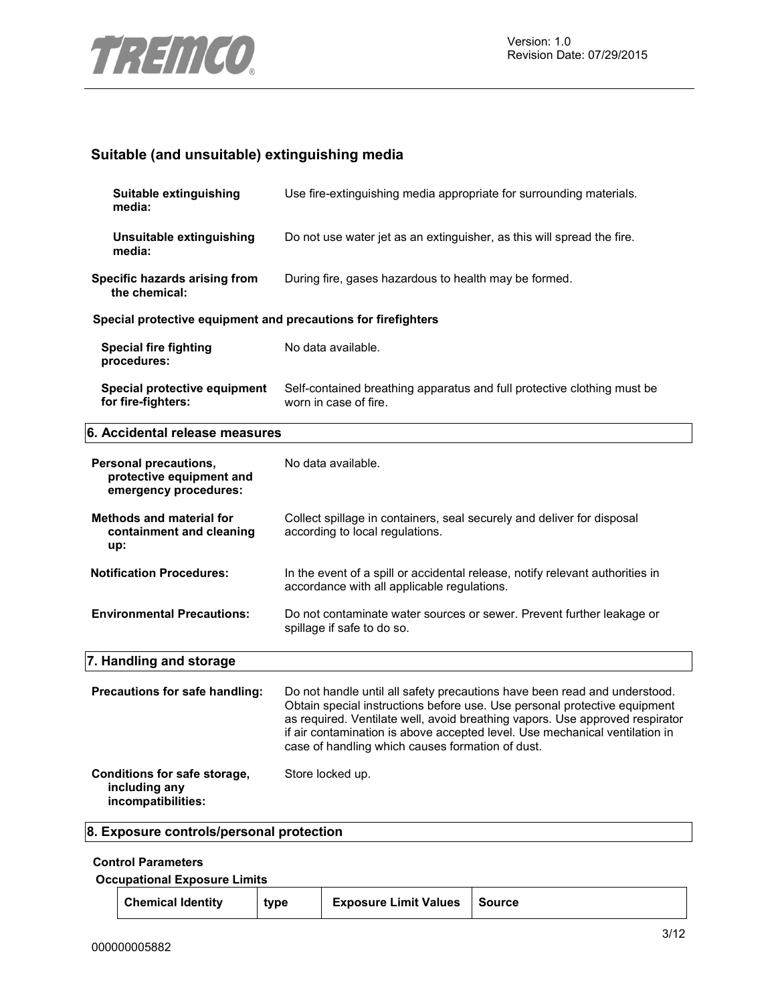

### **Suitable (and unsuitable) extinguishing media**

| Suitable extinguishing<br>media:                                           | Use fire-extinguishing media appropriate for surrounding materials.                                                                                                                                                                                                                                                                                                       |
|----------------------------------------------------------------------------|---------------------------------------------------------------------------------------------------------------------------------------------------------------------------------------------------------------------------------------------------------------------------------------------------------------------------------------------------------------------------|
| Unsuitable extinguishing<br>media:                                         | Do not use water jet as an extinguisher, as this will spread the fire.                                                                                                                                                                                                                                                                                                    |
| Specific hazards arising from<br>the chemical:                             | During fire, gases hazardous to health may be formed.                                                                                                                                                                                                                                                                                                                     |
| Special protective equipment and precautions for firefighters              |                                                                                                                                                                                                                                                                                                                                                                           |
| <b>Special fire fighting</b><br>procedures:                                | No data available.                                                                                                                                                                                                                                                                                                                                                        |
| Special protective equipment<br>for fire-fighters:                         | Self-contained breathing apparatus and full protective clothing must be<br>worn in case of fire.                                                                                                                                                                                                                                                                          |
| 6. Accidental release measures                                             |                                                                                                                                                                                                                                                                                                                                                                           |
| Personal precautions,<br>protective equipment and<br>emergency procedures: | No data available.                                                                                                                                                                                                                                                                                                                                                        |
| <b>Methods and material for</b><br>containment and cleaning<br>up:         | Collect spillage in containers, seal securely and deliver for disposal<br>according to local regulations.                                                                                                                                                                                                                                                                 |
| <b>Notification Procedures:</b>                                            | In the event of a spill or accidental release, notify relevant authorities in<br>accordance with all applicable regulations.                                                                                                                                                                                                                                              |
| <b>Environmental Precautions:</b>                                          | Do not contaminate water sources or sewer. Prevent further leakage or<br>spillage if safe to do so.                                                                                                                                                                                                                                                                       |
| 7. Handling and storage                                                    |                                                                                                                                                                                                                                                                                                                                                                           |
| Precautions for safe handling:                                             | Do not handle until all safety precautions have been read and understood.<br>Obtain special instructions before use. Use personal protective equipment<br>as required. Ventilate well, avoid breathing vapors. Use approved respirator<br>if air contamination is above accepted level. Use mechanical ventilation in<br>case of handling which causes formation of dust. |
| Conditions for safe storage,<br>including any<br>incompatibilities:        | Store locked up.                                                                                                                                                                                                                                                                                                                                                          |
| 8. Exposure controls/personal protection                                   |                                                                                                                                                                                                                                                                                                                                                                           |

### **Control Parameters**

**Occupational Exposure Limits**

|  | <b>Chemical Identity</b> | tvpe | <b>Exposure Limit Values</b> | Source |
|--|--------------------------|------|------------------------------|--------|
|--|--------------------------|------|------------------------------|--------|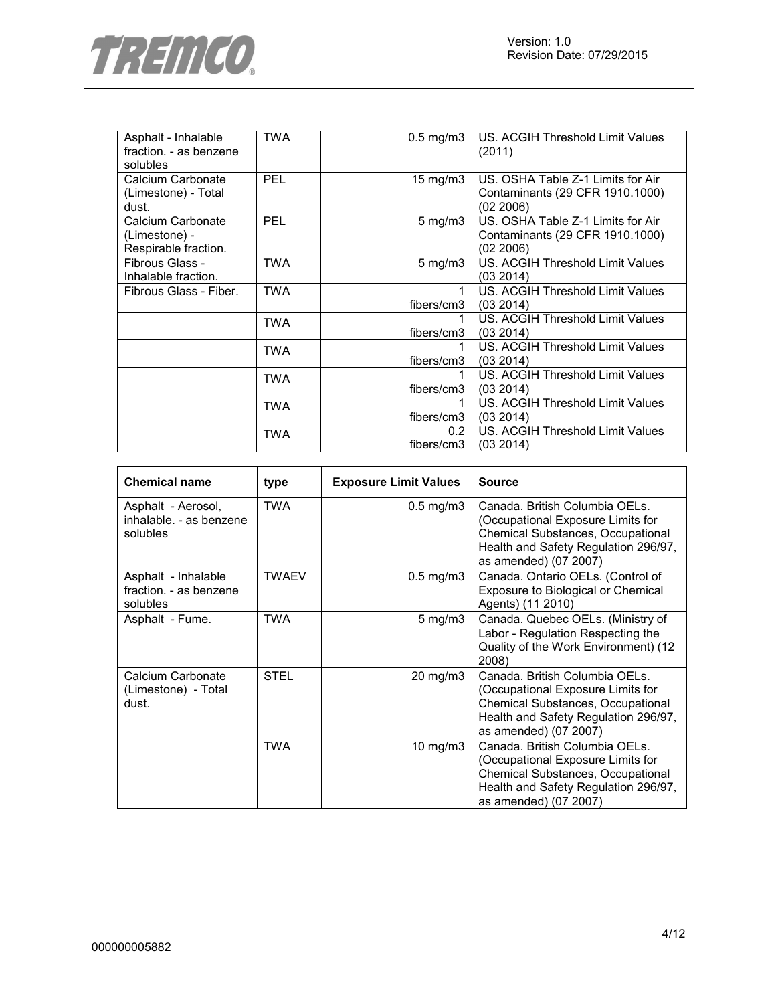

| Asphalt - Inhalable<br>fraction. - as benzene<br>solubles  | <b>TWA</b> | $0.5$ mg/m $3$     | US. ACGIH Threshold Limit Values<br>(2011)                                        |
|------------------------------------------------------------|------------|--------------------|-----------------------------------------------------------------------------------|
| Calcium Carbonate<br>(Limestone) - Total<br>dust.          | <b>PEL</b> | 15 mg/m3           | US. OSHA Table Z-1 Limits for Air<br>Contaminants (29 CFR 1910.1000)<br>(02 2006) |
| Calcium Carbonate<br>(Limestone) -<br>Respirable fraction. | <b>PEL</b> | $5 \text{ mg/m}$   | US. OSHA Table Z-1 Limits for Air<br>Contaminants (29 CFR 1910.1000)<br>(02 2006) |
| Fibrous Glass -<br>Inhalable fraction.                     | <b>TWA</b> | $5 \text{ mg/m}$ 3 | US. ACGIH Threshold Limit Values<br>(03 2014)                                     |
| Fibrous Glass - Fiber.                                     | <b>TWA</b> | 1<br>fibers/cm3    | US. ACGIH Threshold Limit Values<br>(03 2014)                                     |
|                                                            | TWA        | fibers/cm3         | US. ACGIH Threshold Limit Values<br>(03 2014)                                     |
|                                                            | <b>TWA</b> | fibers/cm3         | US. ACGIH Threshold Limit Values<br>(03 2014)                                     |
|                                                            | <b>TWA</b> | fibers/cm3         | US. ACGIH Threshold Limit Values<br>(03 2014)                                     |
|                                                            | <b>TWA</b> | fibers/cm3         | US. ACGIH Threshold Limit Values<br>(03 2014)                                     |
|                                                            | <b>TWA</b> | 0.2<br>fibers/cm3  | US. ACGIH Threshold Limit Values<br>(03 2014)                                     |

| <b>Chemical name</b>                                      | type         | <b>Exposure Limit Values</b> | <b>Source</b>                                                                                                                                                                    |
|-----------------------------------------------------------|--------------|------------------------------|----------------------------------------------------------------------------------------------------------------------------------------------------------------------------------|
| Asphalt - Aerosol,<br>inhalable. - as benzene<br>solubles | <b>TWA</b>   | $0.5$ mg/m $3$               | Canada, British Columbia OELs.<br>(Occupational Exposure Limits for<br><b>Chemical Substances, Occupational</b><br>Health and Safety Regulation 296/97,<br>as amended) (07 2007) |
| Asphalt - Inhalable<br>fraction. - as benzene<br>solubles | <b>TWAEV</b> | $0.5$ mg/m $3$               | Canada. Ontario OELs. (Control of<br>Exposure to Biological or Chemical<br>Agents) (11 2010)                                                                                     |
| Asphalt - Fume.                                           | <b>TWA</b>   | $5 \text{ mg/m}$ 3           | Canada. Quebec OELs. (Ministry of<br>Labor - Regulation Respecting the<br>Quality of the Work Environment) (12<br>2008)                                                          |
| Calcium Carbonate<br>(Limestone) - Total<br>dust.         | <b>STEL</b>  | $20 \text{ mg/m}$            | Canada. British Columbia OELs.<br>(Occupational Exposure Limits for<br>Chemical Substances, Occupational<br>Health and Safety Regulation 296/97,<br>as amended) (07 2007)        |
|                                                           | <b>TWA</b>   | 10 mg/m3                     | Canada. British Columbia OELs.<br>(Occupational Exposure Limits for<br>Chemical Substances, Occupational<br>Health and Safety Regulation 296/97,<br>as amended) (07 2007)        |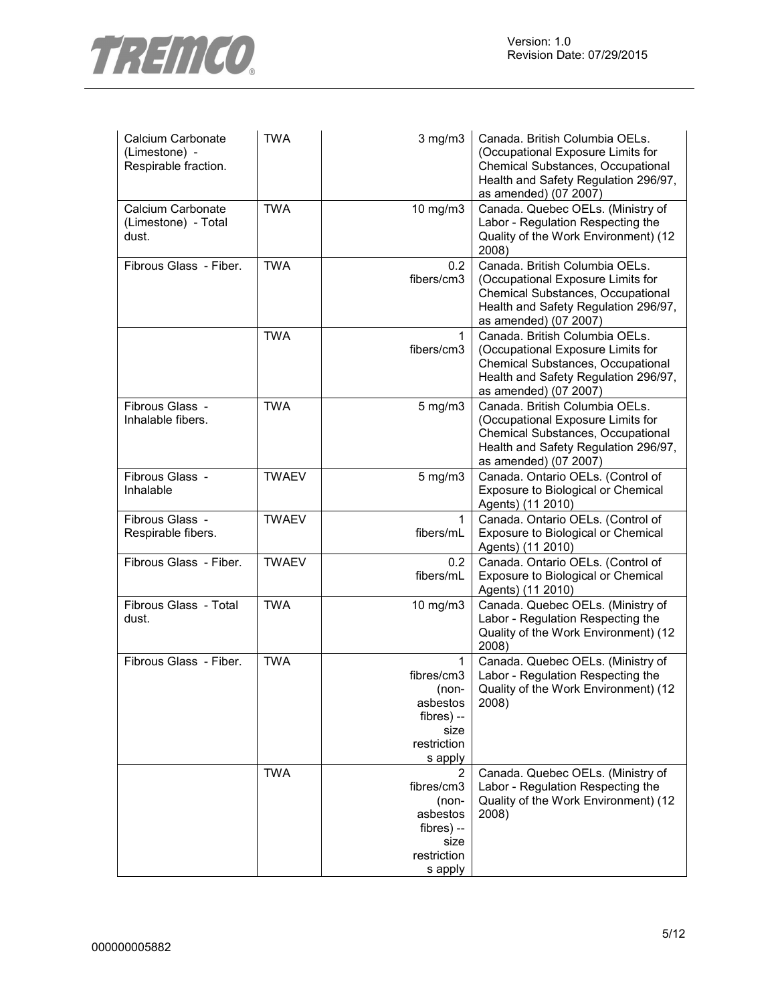

| Calcium Carbonate<br>(Limestone) -<br>Respirable fraction. | <b>TWA</b>   | $3$ mg/m $3$                                                                         | Canada. British Columbia OELs.<br>(Occupational Exposure Limits for<br>Chemical Substances, Occupational<br>Health and Safety Regulation 296/97,<br>as amended) (07 2007) |
|------------------------------------------------------------|--------------|--------------------------------------------------------------------------------------|---------------------------------------------------------------------------------------------------------------------------------------------------------------------------|
| Calcium Carbonate<br>(Limestone) - Total<br>dust.          | <b>TWA</b>   | 10 mg/m3                                                                             | Canada. Quebec OELs. (Ministry of<br>Labor - Regulation Respecting the<br>Quality of the Work Environment) (12<br>2008)                                                   |
| Fibrous Glass - Fiber.                                     | <b>TWA</b>   | 0.2<br>fibers/cm3                                                                    | Canada. British Columbia OELs.<br>(Occupational Exposure Limits for<br>Chemical Substances, Occupational<br>Health and Safety Regulation 296/97,<br>as amended) (07 2007) |
|                                                            | <b>TWA</b>   | 1<br>fibers/cm3                                                                      | Canada. British Columbia OELs.<br>(Occupational Exposure Limits for<br>Chemical Substances, Occupational<br>Health and Safety Regulation 296/97,<br>as amended) (07 2007) |
| Fibrous Glass -<br>Inhalable fibers.                       | <b>TWA</b>   | $5$ mg/m $3$                                                                         | Canada. British Columbia OELs.<br>(Occupational Exposure Limits for<br>Chemical Substances, Occupational<br>Health and Safety Regulation 296/97,<br>as amended) (07 2007) |
| Fibrous Glass -<br>Inhalable                               | <b>TWAEV</b> | $5$ mg/m $3$                                                                         | Canada. Ontario OELs. (Control of<br>Exposure to Biological or Chemical<br>Agents) (11 2010)                                                                              |
| Fibrous Glass -<br>Respirable fibers.                      | <b>TWAEV</b> | 1<br>fibers/mL                                                                       | Canada. Ontario OELs. (Control of<br>Exposure to Biological or Chemical<br>Agents) (11 2010)                                                                              |
| Fibrous Glass - Fiber.                                     | <b>TWAEV</b> | 0.2<br>fibers/mL                                                                     | Canada. Ontario OELs. (Control of<br>Exposure to Biological or Chemical<br>Agents) (11 2010)                                                                              |
| Fibrous Glass - Total<br>dust.                             | <b>TWA</b>   | 10 mg/m3                                                                             | Canada. Quebec OELs. (Ministry of<br>Labor - Regulation Respecting the<br>Quality of the Work Environment) (12<br>2008)                                                   |
| Fibrous Glass - Fiber.                                     | <b>TWA</b>   | 1<br>fibres/cm3<br>(non-<br>asbestos<br>fibres) --<br>size<br>restriction<br>s apply | Canada. Quebec OELs. (Ministry of<br>Labor - Regulation Respecting the<br>Quality of the Work Environment) (12<br>2008)                                                   |
|                                                            | <b>TWA</b>   | 2<br>fibres/cm3<br>(non-<br>asbestos<br>fibres) --<br>size<br>restriction<br>s apply | Canada. Quebec OELs. (Ministry of<br>Labor - Regulation Respecting the<br>Quality of the Work Environment) (12<br>2008)                                                   |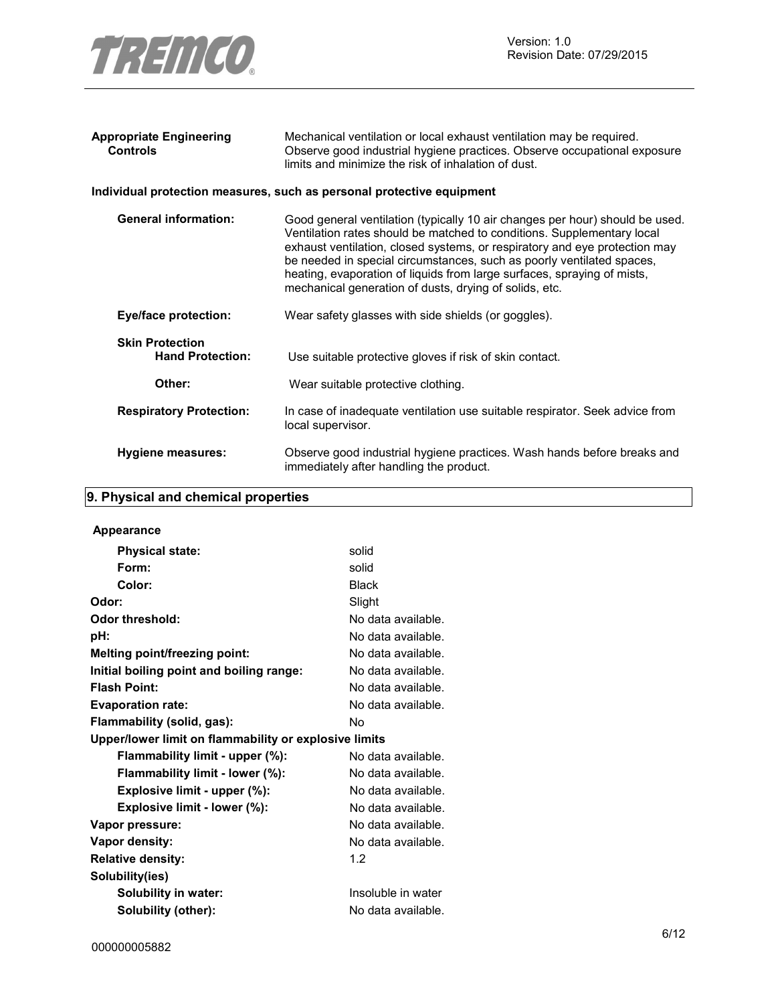

| Appropriate Engineering<br><b>Controls</b>        | Mechanical ventilation or local exhaust ventilation may be required.<br>Observe good industrial hygiene practices. Observe occupational exposure<br>limits and minimize the risk of inhalation of dust.                                                                                                                                                                                                                                            |
|---------------------------------------------------|----------------------------------------------------------------------------------------------------------------------------------------------------------------------------------------------------------------------------------------------------------------------------------------------------------------------------------------------------------------------------------------------------------------------------------------------------|
|                                                   | Individual protection measures, such as personal protective equipment                                                                                                                                                                                                                                                                                                                                                                              |
| <b>General information:</b>                       | Good general ventilation (typically 10 air changes per hour) should be used.<br>Ventilation rates should be matched to conditions. Supplementary local<br>exhaust ventilation, closed systems, or respiratory and eye protection may<br>be needed in special circumstances, such as poorly ventilated spaces,<br>heating, evaporation of liquids from large surfaces, spraying of mists,<br>mechanical generation of dusts, drying of solids, etc. |
| <b>Eye/face protection:</b>                       | Wear safety glasses with side shields (or goggles).                                                                                                                                                                                                                                                                                                                                                                                                |
| <b>Skin Protection</b><br><b>Hand Protection:</b> | Use suitable protective gloves if risk of skin contact.                                                                                                                                                                                                                                                                                                                                                                                            |
| Other:                                            | Wear suitable protective clothing.                                                                                                                                                                                                                                                                                                                                                                                                                 |
| <b>Respiratory Protection:</b>                    | In case of inadequate ventilation use suitable respirator. Seek advice from<br>local supervisor.                                                                                                                                                                                                                                                                                                                                                   |
| Hygiene measures:                                 | Observe good industrial hygiene practices. Wash hands before breaks and<br>immediately after handling the product.                                                                                                                                                                                                                                                                                                                                 |

### **9. Physical and chemical properties**

| <b>Appearance</b>                                     |                    |  |  |
|-------------------------------------------------------|--------------------|--|--|
| <b>Physical state:</b>                                | solid              |  |  |
| Form:                                                 | solid              |  |  |
| Color:                                                | <b>Black</b>       |  |  |
| Odor:                                                 | Slight             |  |  |
| Odor threshold:                                       | No data available. |  |  |
| pH:                                                   | No data available. |  |  |
| Melting point/freezing point:                         | No data available. |  |  |
| Initial boiling point and boiling range:              | No data available. |  |  |
| <b>Flash Point:</b>                                   | No data available. |  |  |
| <b>Evaporation rate:</b>                              | No data available. |  |  |
| Flammability (solid, gas):                            | N٥                 |  |  |
| Upper/lower limit on flammability or explosive limits |                    |  |  |
| Flammability limit - upper (%):                       | No data available. |  |  |
| Flammability limit - lower (%):                       | No data available. |  |  |
| Explosive limit - upper (%):                          | No data available. |  |  |
| Explosive limit - lower (%):                          | No data available. |  |  |
| Vapor pressure:                                       | No data available. |  |  |
| Vapor density:                                        | No data available. |  |  |
| <b>Relative density:</b>                              | 1.2                |  |  |
| Solubility(ies)                                       |                    |  |  |
| Solubility in water:                                  | Insoluble in water |  |  |
| Solubility (other):                                   | No data available. |  |  |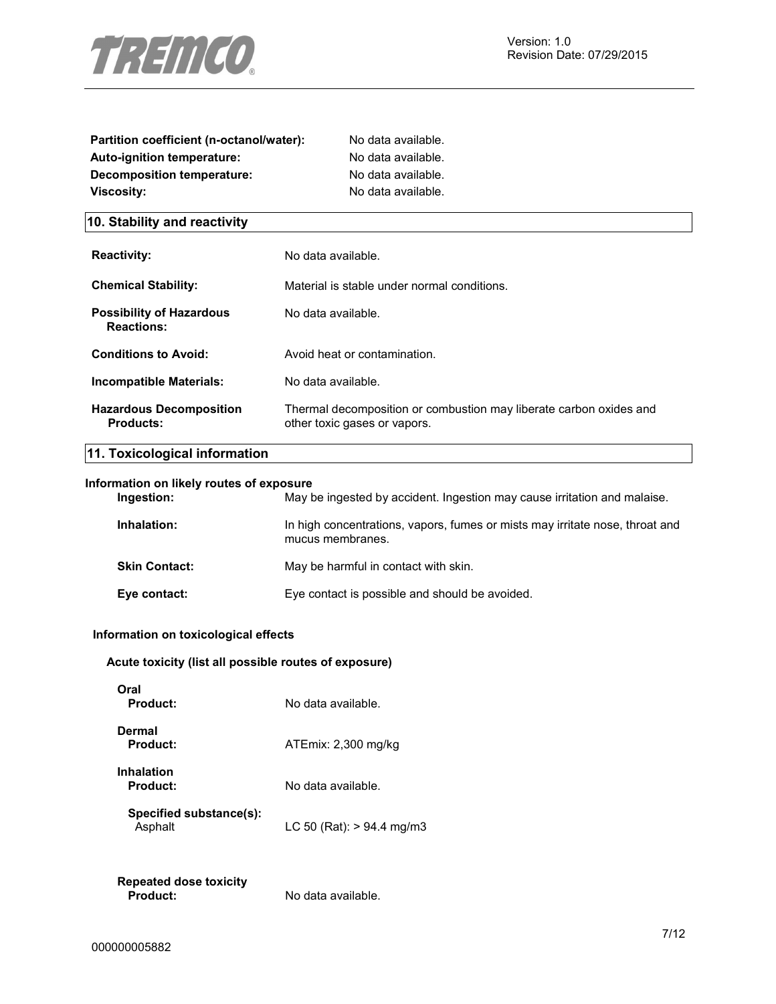

| Partition coefficient (n-octanol/water): | No data available. |  |
|------------------------------------------|--------------------|--|
| <b>Auto-ignition temperature:</b>        | No data available. |  |
| Decomposition temperature:               | No data available. |  |
| Viscosity:                               | No data available. |  |
| 10. Stability and reactivity             |                    |  |

| <b>Reactivity:</b>                                   | No data available.                                                                                 |
|------------------------------------------------------|----------------------------------------------------------------------------------------------------|
| <b>Chemical Stability:</b>                           | Material is stable under normal conditions.                                                        |
| <b>Possibility of Hazardous</b><br><b>Reactions:</b> | No data available.                                                                                 |
| <b>Conditions to Avoid:</b>                          | Avoid heat or contamination.                                                                       |
| Incompatible Materials:                              | No data available.                                                                                 |
| <b>Hazardous Decomposition</b><br>Products:          | Thermal decomposition or combustion may liberate carbon oxides and<br>other toxic gases or vapors. |

### **11. Toxicological information**

### **Information on likely routes of exposure**

| Ingestion:           | May be ingested by accident. Ingestion may cause irritation and malaise.                         |
|----------------------|--------------------------------------------------------------------------------------------------|
| Inhalation:          | In high concentrations, vapors, fumes or mists may irritate nose, throat and<br>mucus membranes. |
| <b>Skin Contact:</b> | May be harmful in contact with skin.                                                             |
| Eye contact:         | Eye contact is possible and should be avoided.                                                   |

#### **Information on toxicological effects**

### **Acute toxicity (list all possible routes of exposure)**

| วral<br>Product:                   | No data available.          |
|------------------------------------|-----------------------------|
| Dermal<br>Product:                 | ATEmix: 2,300 mg/kg         |
| Inhalation<br>Product:             | No data available.          |
| Specified substance(s):<br>Asphalt | LC 50 (Rat): $> 94.4$ mg/m3 |
|                                    |                             |

### **Repeated dose toxicity Product:** No data available.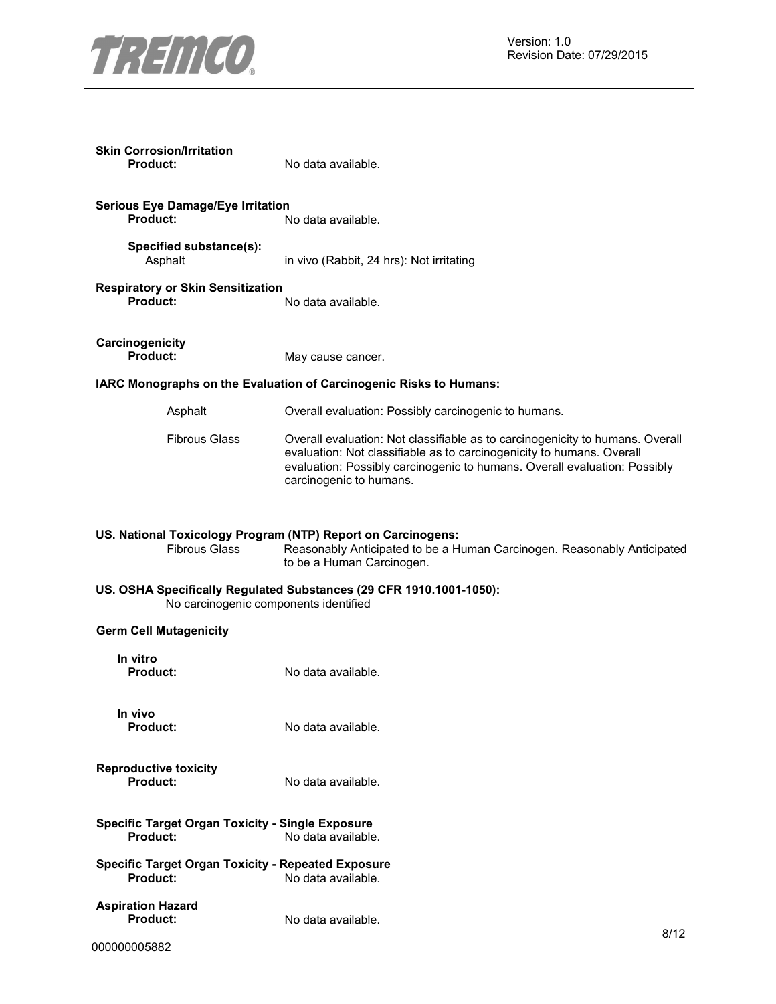

| <b>Skin Corrosion/Irritation</b><br><b>Product:</b>                                                                                                                                          | No data available.                                                                                                                                                                                                                                             |  |
|----------------------------------------------------------------------------------------------------------------------------------------------------------------------------------------------|----------------------------------------------------------------------------------------------------------------------------------------------------------------------------------------------------------------------------------------------------------------|--|
| <b>Serious Eye Damage/Eye Irritation</b><br><b>Product:</b>                                                                                                                                  | No data available.                                                                                                                                                                                                                                             |  |
| Specified substance(s):<br>Asphalt                                                                                                                                                           | in vivo (Rabbit, 24 hrs): Not irritating                                                                                                                                                                                                                       |  |
| <b>Respiratory or Skin Sensitization</b><br><b>Product:</b>                                                                                                                                  | No data available.                                                                                                                                                                                                                                             |  |
| Carcinogenicity<br><b>Product:</b>                                                                                                                                                           | May cause cancer.                                                                                                                                                                                                                                              |  |
|                                                                                                                                                                                              | IARC Monographs on the Evaluation of Carcinogenic Risks to Humans:                                                                                                                                                                                             |  |
| Asphalt                                                                                                                                                                                      | Overall evaluation: Possibly carcinogenic to humans.                                                                                                                                                                                                           |  |
| <b>Fibrous Glass</b>                                                                                                                                                                         | Overall evaluation: Not classifiable as to carcinogenicity to humans. Overall<br>evaluation: Not classifiable as to carcinogenicity to humans. Overall<br>evaluation: Possibly carcinogenic to humans. Overall evaluation: Possibly<br>carcinogenic to humans. |  |
| US. National Toxicology Program (NTP) Report on Carcinogens:<br><b>Fibrous Glass</b><br>Reasonably Anticipated to be a Human Carcinogen. Reasonably Anticipated<br>to be a Human Carcinogen. |                                                                                                                                                                                                                                                                |  |
| US. OSHA Specifically Regulated Substances (29 CFR 1910.1001-1050):<br>No carcinogenic components identified                                                                                 |                                                                                                                                                                                                                                                                |  |
| <b>Germ Cell Mutagenicity</b>                                                                                                                                                                |                                                                                                                                                                                                                                                                |  |
| In vitro<br><b>Product:</b>                                                                                                                                                                  | No data available.                                                                                                                                                                                                                                             |  |
| In vivo<br><b>Product:</b>                                                                                                                                                                   | No data available.                                                                                                                                                                                                                                             |  |
| <b>Reproductive toxicity</b><br><b>Product:</b>                                                                                                                                              | No data available.                                                                                                                                                                                                                                             |  |
| <b>Specific Target Organ Toxicity - Single Exposure</b><br><b>Product:</b><br>No data available.                                                                                             |                                                                                                                                                                                                                                                                |  |
| <b>Specific Target Organ Toxicity - Repeated Exposure</b><br><b>Product:</b>                                                                                                                 | No data available.                                                                                                                                                                                                                                             |  |
| <b>Aspiration Hazard</b><br>Product:                                                                                                                                                         | No data available.<br>8/12                                                                                                                                                                                                                                     |  |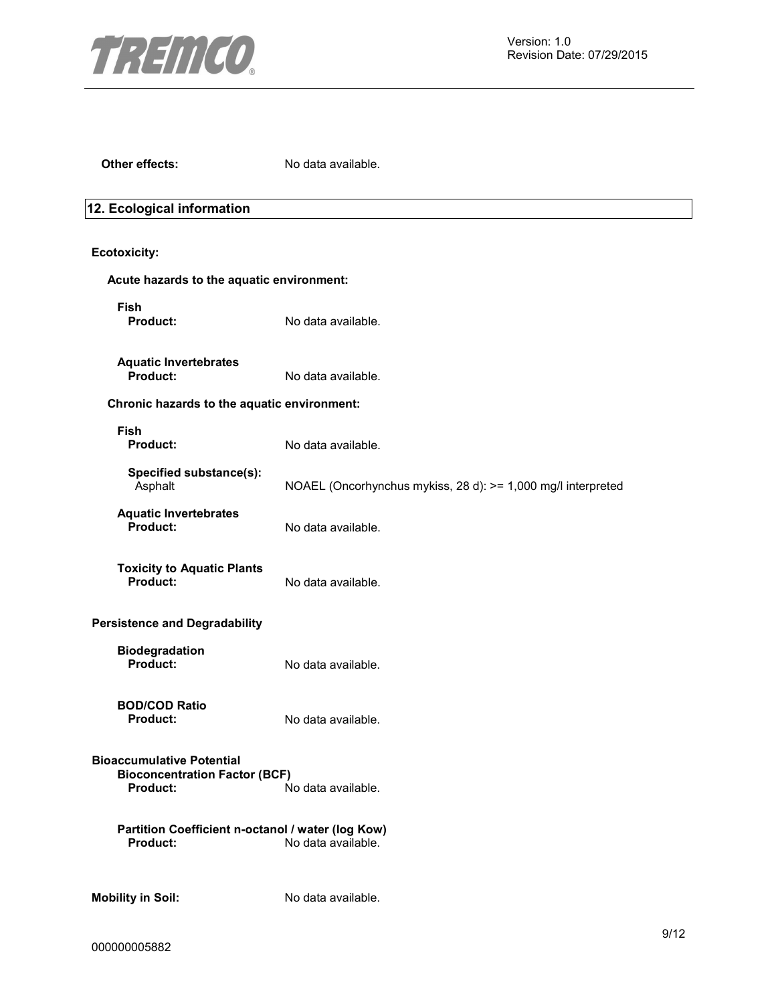

**Other effects:** No data available.

### **12. Ecological information**

### **Ecotoxicity:**

| Acute hazards to the aquatic environment:                                                   |                                                              |
|---------------------------------------------------------------------------------------------|--------------------------------------------------------------|
| <b>Fish</b><br>Product:                                                                     | No data available.                                           |
| <b>Aquatic Invertebrates</b><br>Product:                                                    | No data available.                                           |
| Chronic hazards to the aquatic environment:                                                 |                                                              |
| <b>Fish</b><br><b>Product:</b>                                                              | No data available.                                           |
| Specified substance(s):<br>Asphalt                                                          | NOAEL (Oncorhynchus mykiss, 28 d): >= 1,000 mg/l interpreted |
| <b>Aquatic Invertebrates</b><br>Product:                                                    | No data available.                                           |
| <b>Toxicity to Aquatic Plants</b><br>Product:                                               | No data available.                                           |
| <b>Persistence and Degradability</b>                                                        |                                                              |
| Biodegradation<br>Product:                                                                  | No data available.                                           |
| <b>BOD/COD Ratio</b><br>Product:                                                            | No data available.                                           |
| <b>Bioaccumulative Potential</b><br><b>Bioconcentration Factor (BCF)</b><br><b>Product:</b> | No data available.                                           |
| Partition Coefficient n-octanol / water (log Kow)<br>Product:                               | No data available.                                           |
| <b>Mobility in Soil:</b>                                                                    | No data available.                                           |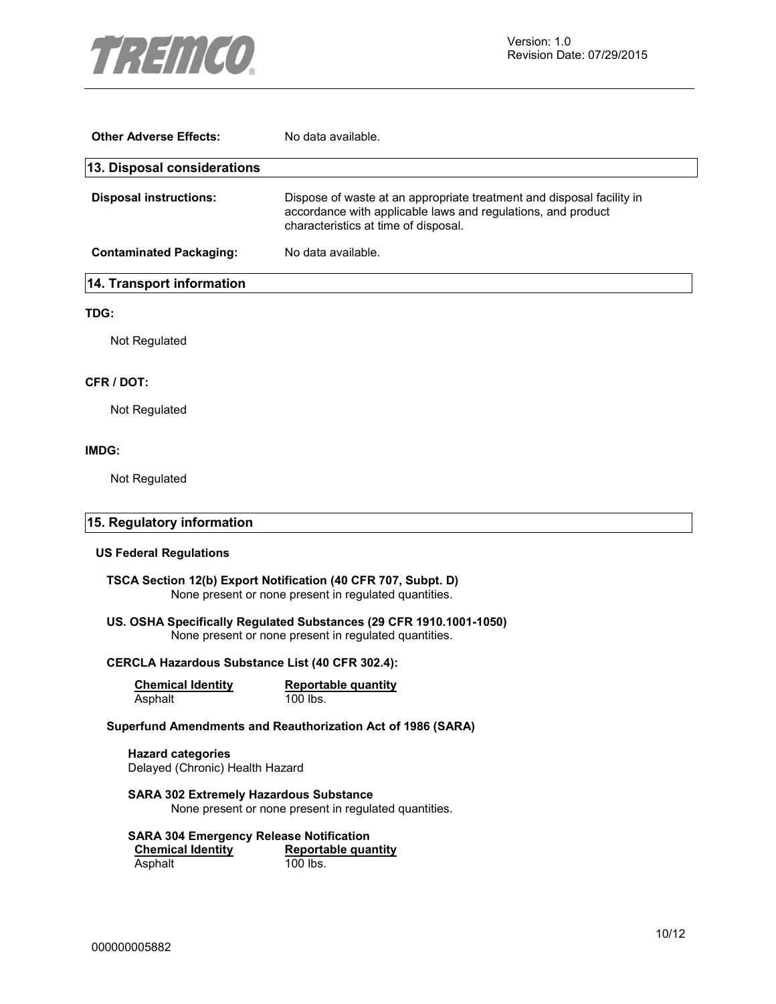

| <b>Other Adverse Effects:</b>  | No data available.                                                                                                                                                            |
|--------------------------------|-------------------------------------------------------------------------------------------------------------------------------------------------------------------------------|
| 13. Disposal considerations    |                                                                                                                                                                               |
| <b>Disposal instructions:</b>  | Dispose of waste at an appropriate treatment and disposal facility in<br>accordance with applicable laws and regulations, and product<br>characteristics at time of disposal. |
| <b>Contaminated Packaging:</b> | No data available.                                                                                                                                                            |
| 14. Transport information      |                                                                                                                                                                               |

#### **TDG:**

Not Regulated

#### **CFR / DOT:**

Not Regulated

#### **IMDG:**

Not Regulated

#### **15. Regulatory information**

#### **US Federal Regulations**

**TSCA Section 12(b) Export Notification (40 CFR 707, Subpt. D)**  None present or none present in regulated quantities.

### **US. OSHA Specifically Regulated Substances (29 CFR 1910.1001-1050)**

None present or none present in regulated quantities.

#### **CERCLA Hazardous Substance List (40 CFR 302.4):**

| <b>Chemical Identity</b> | Reportable quantity |
|--------------------------|---------------------|
| Asphalt                  | 100 lbs.            |

#### **Superfund Amendments and Reauthorization Act of 1986 (SARA)**

**Hazard categories**  Delayed (Chronic) Health Hazard

**SARA 302 Extremely Hazardous Substance**  None present or none present in regulated quantities.

#### **SARA 304 Emergency Release Notification**

**Chemical Identity Reportable quantity**<br> **Asphalt Asphalt Reportable quantity** Asphalt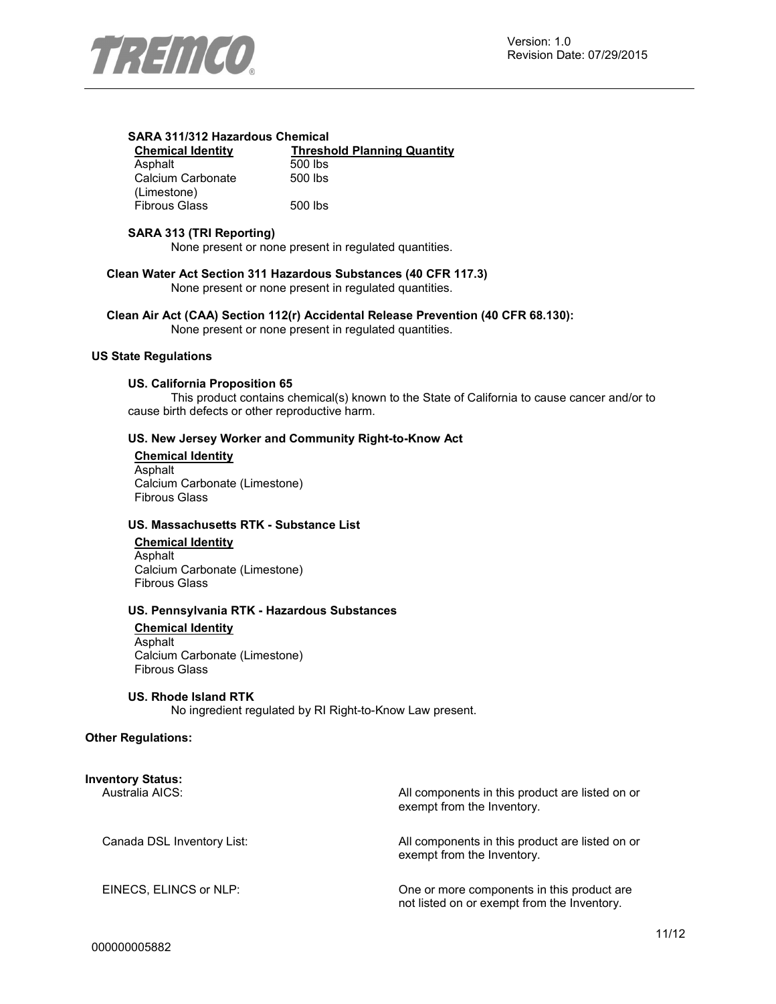

#### **SARA 311/312 Hazardous Chemical**

| <b>Chemical Identity</b> | <b>Thresh</b> |
|--------------------------|---------------|
| Asphalt                  | 500 lbs       |
| Calcium Carbonate        | 500 lbs       |
| (Limestone)              |               |
| <b>Fibrous Glass</b>     | 500 lbs       |

**Chemical Identity Threshold Planning Quantity**  $0$  lbs  $00$  lbs

### **SARA 313 (TRI Reporting)**

None present or none present in regulated quantities.

**Clean Water Act Section 311 Hazardous Substances (40 CFR 117.3)**  None present or none present in regulated quantities.

**Clean Air Act (CAA) Section 112(r) Accidental Release Prevention (40 CFR 68.130):** 

None present or none present in regulated quantities.

#### **US State Regulations**

#### **US. California Proposition 65**

This product contains chemical(s) known to the State of California to cause cancer and/or to cause birth defects or other reproductive harm.

#### **US. New Jersey Worker and Community Right-to-Know Act**

**Chemical Identity** Asphalt Calcium Carbonate (Limestone) Fibrous Glass

#### **US. Massachusetts RTK - Substance List**

**Chemical Identity** Asphalt Calcium Carbonate (Limestone) Fibrous Glass

#### **US. Pennsylvania RTK - Hazardous Substances**

**Chemical Identity** Asphalt Calcium Carbonate (Limestone) Fibrous Glass

#### **US. Rhode Island RTK**

No ingredient regulated by RI Right-to-Know Law present.

#### **Other Regulations:**

| Inventory Status:<br>Australia AICS: | All components in this product are listed on or<br>exempt from the Inventory.              |
|--------------------------------------|--------------------------------------------------------------------------------------------|
| Canada DSL Inventory List:           | All components in this product are listed on or<br>exempt from the Inventory.              |
| EINECS, ELINCS or NLP:               | One or more components in this product are.<br>not listed on or exempt from the Inventory. |